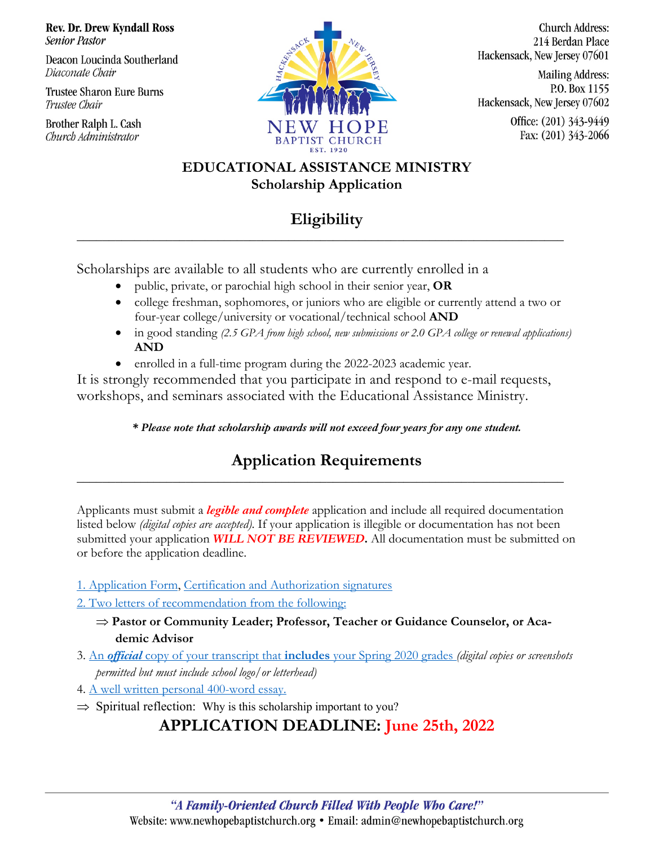**Rev. Dr. Drew Kyndall Ross Senior Pastor** 

Deacon Loucinda Southerland Diaconate Chair

**Trustee Sharon Eure Burns** Trustee Chair

Brother Ralph L. Cash Church Administrator



**Church Address:** 214 Berdan Place Hackensack, New Jersey 07601

**Mailing Address:** P.O. Box 1155 Hackensack, New Jersey 07602 Office: (201) 343-9449

Fax: (201) 343-2066

**EDUCATIONAL ASSISTANCE MINISTRY Scholarship Application**

## **Eligibility**

**\_\_\_\_\_\_\_\_\_\_\_\_\_\_\_\_\_\_\_\_\_\_\_\_\_\_\_\_\_\_\_\_\_\_\_\_\_\_\_\_\_\_\_\_\_\_\_\_\_\_\_\_\_\_\_\_\_\_\_\_\_\_\_\_\_\_\_\_\_\_\_\_\_\_\_\_**

Scholarships are available to all students who are currently enrolled in a

- public, private, or parochial high school in their senior year, **OR**
- college freshman, sophomores, or juniors who are eligible or currently attend a two or four-year college/university or vocational/technical school **AND**
- in good standing *(2.5 GPA from high school, new submissions or 2.0 GPA college or renewal applications*) **AND**
- enrolled in a full-time program during the 2022-2023 academic year.

It is strongly recommended that you participate in and respond to e-mail requests, workshops, and seminars associated with the Educational Assistance Ministry.

*\* Please note that scholarship awards will not exceed four years for any one student.*

### **Application Requirements \_\_\_\_\_\_\_\_\_\_\_\_\_\_\_\_\_\_\_\_\_\_\_\_\_\_\_\_\_\_\_\_\_\_\_\_\_\_\_\_\_\_\_\_\_\_\_\_\_\_\_\_\_\_\_\_\_\_\_\_\_\_\_\_\_\_\_\_\_\_\_\_\_\_\_\_**

Applicants must submit a *legible and complete* application and include all required documentation listed below *(digital copies are accepted)*. If your application is illegible or documentation has not been submitted your application *WILL NOT BE REVIEWED***.** All documentation must be submitted on or before the application deadline.

- 1. Application Form, Certification and Authorization signatures
- 2. Two letters of recommendation from the following:
	- $\Rightarrow$  Pastor or Community Leader; Professor, Teacher or Guidance Counselor, or Aca**demic Advisor**
- 3. An *official* copy of your transcript that **includes** your Spring 2020 grades *(digital copies or screenshots permitted but must include school logo/or letterhead)*
- 4. A well written personal 400-word essay.
- $\Rightarrow$  Spiritual reflection: Why is this scholarship important to you?

# **APPLICATION DEADLINE: June 25th, 2022**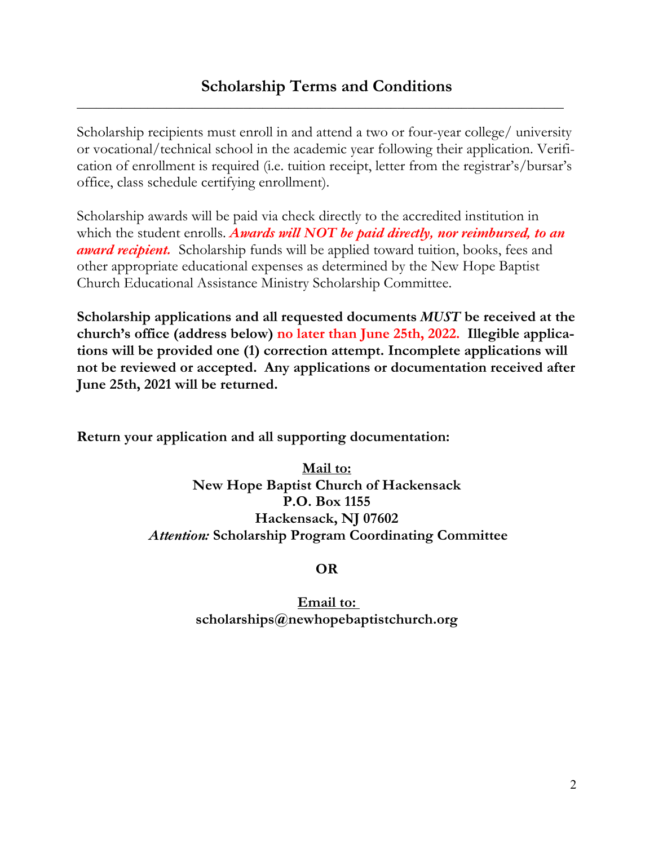**\_\_\_\_\_\_\_\_\_\_\_\_\_\_\_\_\_\_\_\_\_\_\_\_\_\_\_\_\_\_\_\_\_\_\_\_\_\_\_\_\_\_\_\_\_\_\_\_\_\_\_\_\_\_\_\_\_\_\_\_\_\_\_\_\_\_\_\_\_\_\_\_\_\_\_\_**

Scholarship recipients must enroll in and attend a two or four-year college/ university or vocational/technical school in the academic year following their application. Verification of enrollment is required (i.e. tuition receipt, letter from the registrar's/bursar's office, class schedule certifying enrollment).

Scholarship awards will be paid via check directly to the accredited institution in which the student enrolls. *Awards will NOT be paid directly, nor reimbursed, to an award recipient.* Scholarship funds will be applied toward tuition, books, fees and other appropriate educational expenses as determined by the New Hope Baptist Church Educational Assistance Ministry Scholarship Committee.

**Scholarship applications and all requested documents** *MUST* **be received at the church's office (address below) no later than June 25th, 2022. Illegible applications will be provided one (1) correction attempt. Incomplete applications will not be reviewed or accepted. Any applications or documentation received after June 25th, 2021 will be returned.** 

**Return your application and all supporting documentation:**

**Mail to: New Hope Baptist Church of Hackensack P.O. Box 1155 Hackensack, NJ 07602** *Attention:* **Scholarship Program Coordinating Committee** 

**OR**

**Email to: scholarships@newhopebaptistchurch.org**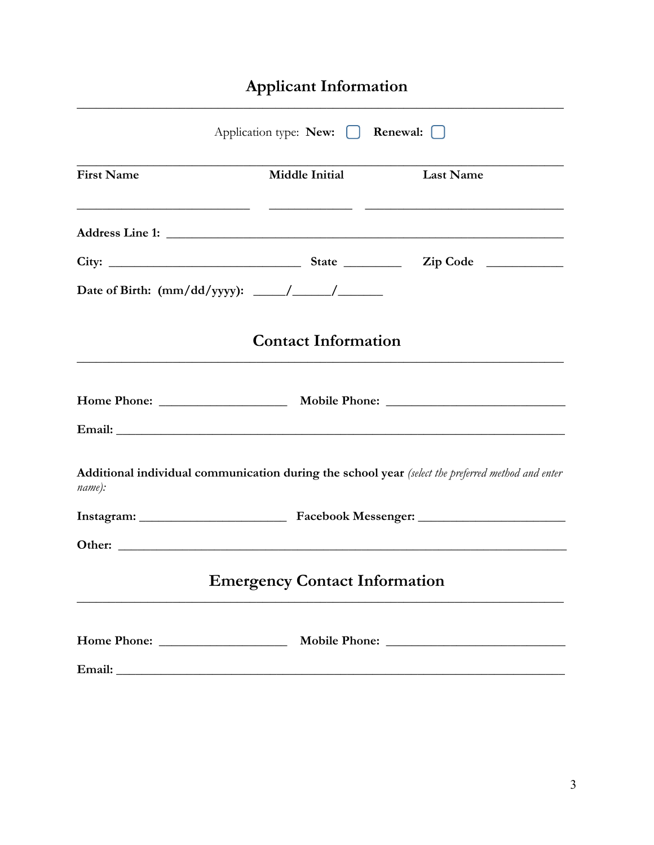# Applicant Information

|                   | Application type: New:   Renewal:    |                                                                                                                       |
|-------------------|--------------------------------------|-----------------------------------------------------------------------------------------------------------------------|
| <b>First Name</b> | <b>Middle Initial</b>                | <b>Last Name</b>                                                                                                      |
|                   |                                      | <u> 1990 - Jan James James (f. 1980).</u> 1990 - Jan Jawa Barat, prima ing Kabupatèn Indonesia. Ing Kabupatèn Indones |
|                   |                                      |                                                                                                                       |
|                   |                                      |                                                                                                                       |
|                   | <b>Contact Information</b>           |                                                                                                                       |
|                   |                                      |                                                                                                                       |
| name):            |                                      | Additional individual communication during the school year (select the preferred method and enter                     |
|                   |                                      |                                                                                                                       |
|                   |                                      | Other:                                                                                                                |
|                   | <b>Emergency Contact Information</b> |                                                                                                                       |
|                   |                                      |                                                                                                                       |
|                   |                                      |                                                                                                                       |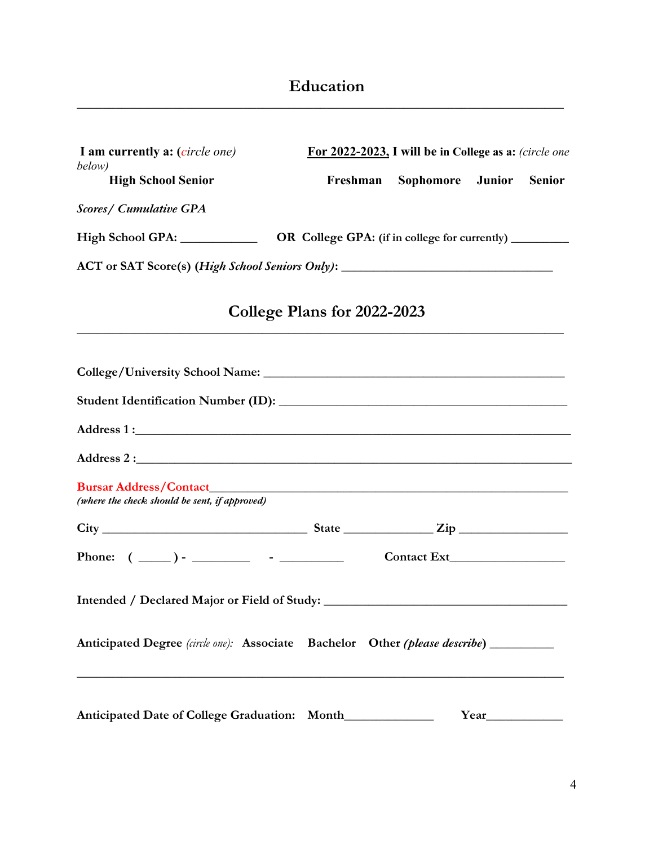### **Education**

| I am currently a: (circle one)                                                       | For 2022-2023, I will be in College as a: (circle one |  |                                                         |               |               |
|--------------------------------------------------------------------------------------|-------------------------------------------------------|--|---------------------------------------------------------|---------------|---------------|
| below)<br><b>High School Senior</b>                                                  | Freshman                                              |  | Sophomore                                               | <b>Junior</b> | <b>Senior</b> |
| <b>Scores/ Cumulative GPA</b>                                                        |                                                       |  |                                                         |               |               |
| High School GPA: ______________                                                      |                                                       |  | OR College GPA: (if in college for currently) _________ |               |               |
|                                                                                      |                                                       |  |                                                         |               |               |
|                                                                                      | College Plans for 2022-2023                           |  |                                                         |               |               |
|                                                                                      |                                                       |  |                                                         |               |               |
|                                                                                      |                                                       |  |                                                         |               |               |
|                                                                                      |                                                       |  |                                                         |               |               |
|                                                                                      |                                                       |  |                                                         |               |               |
| (where the check should be sent, if approved)                                        |                                                       |  |                                                         |               |               |
| $City$ $City$ $Size$ $Type$                                                          |                                                       |  |                                                         |               |               |
| Phone: $(\_\_)$ - $\_\_$ - $\_\_$                                                    |                                                       |  |                                                         |               |               |
|                                                                                      |                                                       |  |                                                         |               |               |
| Anticipated Degree (circle one): Associate Bachelor Other (please describe) ________ |                                                       |  |                                                         |               |               |
| Anticipated Date of College Graduation: Month___________                             |                                                       |  |                                                         | Year          |               |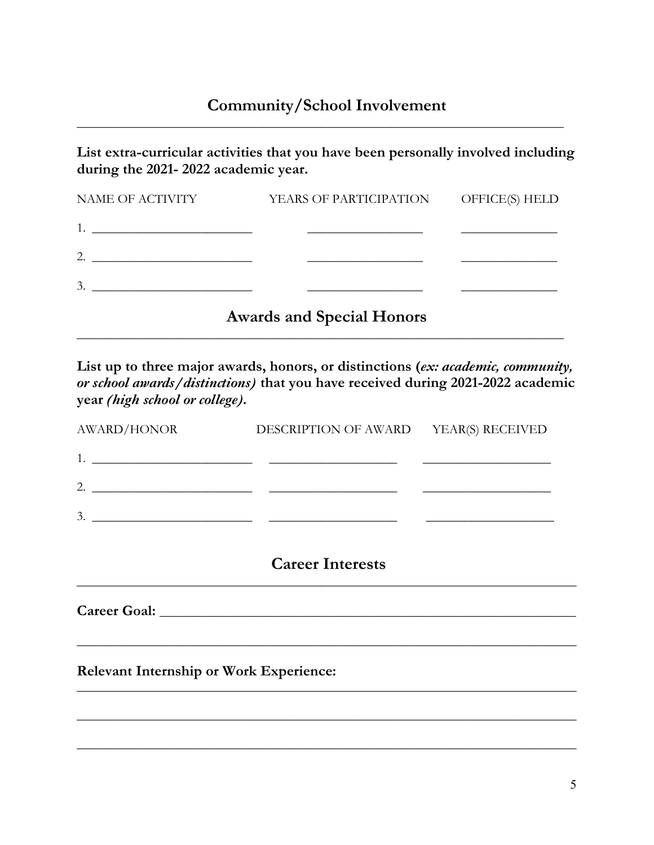**\_\_\_\_\_\_\_\_\_\_\_\_\_\_\_\_\_\_\_\_\_\_\_\_\_\_\_\_\_\_\_\_\_\_\_\_\_\_\_\_\_\_\_\_\_\_\_\_\_\_\_\_\_\_\_\_\_\_\_\_\_\_\_\_\_\_\_\_\_\_\_\_\_\_\_\_**

**List extra-curricular activities that you have been personally involved including during the 2021- 2022 academic year.**

| NAME OF ACTIVITY | YEARS OF PARTICIPATION OFFICE(S) HELD |  |
|------------------|---------------------------------------|--|
|                  |                                       |  |
|                  |                                       |  |
|                  |                                       |  |
|                  | <b>Awards and Special Honors</b>      |  |

**List up to three major awards, honors, or distinctions (***ex: academic, community, or school awards/distinctions)* **that you have received during 2021-2022 academic year** *(high school or college).*

**\_\_\_\_\_\_\_\_\_\_\_\_\_\_\_\_\_\_\_\_\_\_\_\_\_\_\_\_\_\_\_\_\_\_\_\_\_\_\_\_\_\_\_\_\_\_\_\_\_\_\_\_\_\_\_\_\_\_\_\_\_\_\_\_\_\_\_\_\_\_\_\_\_\_\_\_**

|                    | <b>Career Interests</b>                                                                                                                                                                                                                                                                                                |  |
|--------------------|------------------------------------------------------------------------------------------------------------------------------------------------------------------------------------------------------------------------------------------------------------------------------------------------------------------------|--|
|                    | 3. $\frac{1}{2}$ $\frac{1}{2}$ $\frac{1}{2}$ $\frac{1}{2}$ $\frac{1}{2}$ $\frac{1}{2}$ $\frac{1}{2}$ $\frac{1}{2}$ $\frac{1}{2}$ $\frac{1}{2}$ $\frac{1}{2}$ $\frac{1}{2}$ $\frac{1}{2}$ $\frac{1}{2}$ $\frac{1}{2}$ $\frac{1}{2}$ $\frac{1}{2}$ $\frac{1}{2}$ $\frac{1}{2}$ $\frac{1}{2}$ $\frac{1}{2}$ $\frac{1}{2}$ |  |
|                    |                                                                                                                                                                                                                                                                                                                        |  |
|                    |                                                                                                                                                                                                                                                                                                                        |  |
| <b>AWARD/HONOR</b> | DESCRIPTION OF AWARD YEAR(S) RECEIVED                                                                                                                                                                                                                                                                                  |  |

\_\_\_\_\_\_\_\_\_\_\_\_\_\_\_\_\_\_\_\_\_\_\_\_\_\_\_\_\_\_\_\_\_\_\_\_\_\_\_\_\_\_\_\_\_\_\_\_\_\_\_\_\_\_\_\_\_\_\_\_\_\_\_\_\_\_\_\_\_\_\_\_\_\_\_\_\_\_

\_\_\_\_\_\_\_\_\_\_\_\_\_\_\_\_\_\_\_\_\_\_\_\_\_\_\_\_\_\_\_\_\_\_\_\_\_\_\_\_\_\_\_\_\_\_\_\_\_\_\_\_\_\_\_\_\_\_\_\_\_\_\_\_\_\_\_\_\_\_\_\_\_\_\_\_\_\_

\_\_\_\_\_\_\_\_\_\_\_\_\_\_\_\_\_\_\_\_\_\_\_\_\_\_\_\_\_\_\_\_\_\_\_\_\_\_\_\_\_\_\_\_\_\_\_\_\_\_\_\_\_\_\_\_\_\_\_\_\_\_\_\_\_\_\_\_\_\_\_\_\_\_\_\_\_\_

\_\_\_\_\_\_\_\_\_\_\_\_\_\_\_\_\_\_\_\_\_\_\_\_\_\_\_\_\_\_\_\_\_\_\_\_\_\_\_\_\_\_\_\_\_\_\_\_\_\_\_\_\_\_\_\_\_\_\_\_\_\_\_\_\_\_\_\_\_\_\_\_\_\_\_\_\_\_

**Relevant Internship or Work Experience:**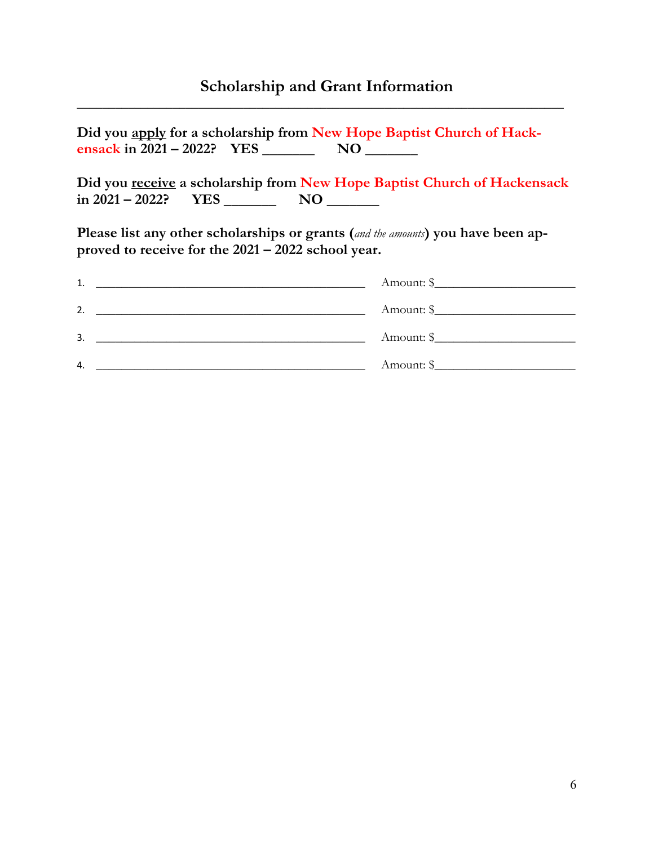### **Scholarship and Grant Information**

**\_\_\_\_\_\_\_\_\_\_\_\_\_\_\_\_\_\_\_\_\_\_\_\_\_\_\_\_\_\_\_\_\_\_\_\_\_\_\_\_\_\_\_\_\_\_\_\_\_\_\_\_\_\_\_\_\_\_\_\_\_\_\_\_\_\_\_\_\_\_\_\_\_\_\_\_**

**Did you apply for a scholarship from New Hope Baptist Church of Hackensack in 2021 – 2022? YES \_\_\_\_\_\_\_ NO \_\_\_\_\_\_\_**

**Did you receive a scholarship from New Hope Baptist Church of Hackensack in 2021 – 2022? YES \_\_\_\_\_\_\_ NO \_\_\_\_\_\_\_**

**Please list any other scholarships or grants (***and the amounts***) you have been approved to receive for the 2021 – 2022 school year.** 

| 1. | Amount: $\frac{1}{2}$ |
|----|-----------------------|
| 2. | Amount: $\frac{1}{2}$ |
| 3. | Amount: \$            |
| 4. | Amount: $\frac{1}{2}$ |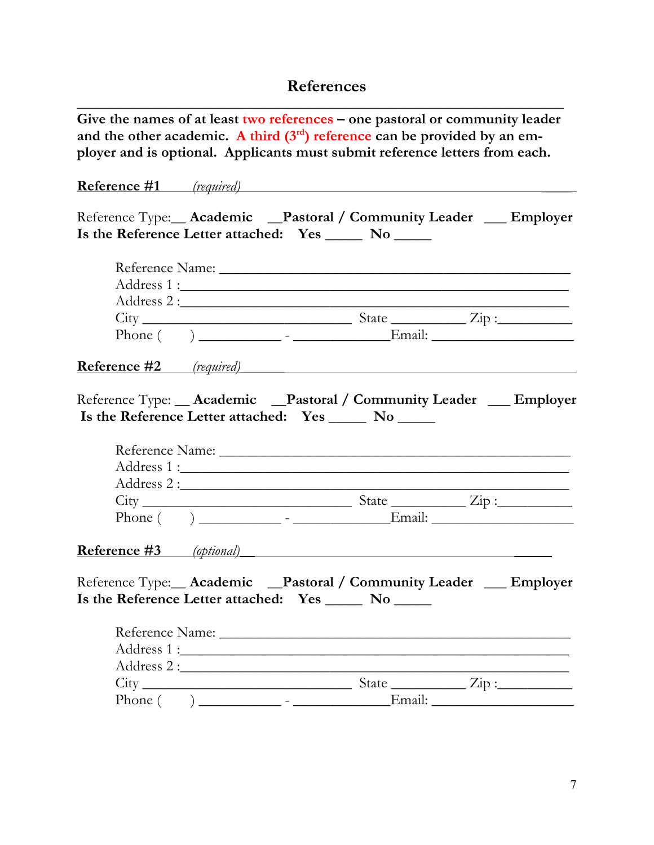#### **References**

**Give the names of at least two references – one pastoral or community leader**  and the other academic. A third  $(3<sup>rd</sup>)$  reference can be provided by an em**ployer and is optional. Applicants must submit reference letters from each.**

**\_\_\_\_\_\_\_\_\_\_\_\_\_\_\_\_\_\_\_\_\_\_\_\_\_\_\_\_\_\_\_\_\_\_\_\_\_\_\_\_\_\_\_\_\_\_\_\_\_\_\_\_\_\_\_\_\_\_\_\_\_\_\_\_\_\_\_\_\_\_\_\_\_\_\_\_**

# **Reference #1** *(required)* **\_\_\_\_**

Reference Type:**\_\_ Academic \_\_Pastoral / Community Leader \_\_\_ Employer Is the Reference Letter attached: Yes \_\_\_\_\_ No \_\_\_\_\_**

|  | $City$ $City$ $Size$ $Zip:$                                                                                                     |  |
|--|---------------------------------------------------------------------------------------------------------------------------------|--|
|  |                                                                                                                                 |  |
|  | <b>Reference #2</b> (required)                                                                                                  |  |
|  | Reference Type: __ Academic __ Pastoral / Community Leader __ Employer<br>Is the Reference Letter attached: Yes ______ No _____ |  |
|  |                                                                                                                                 |  |
|  |                                                                                                                                 |  |
|  |                                                                                                                                 |  |
|  | $City$ $City$ $Size$ $Type:$                                                                                                    |  |
|  |                                                                                                                                 |  |
|  | <b>Reference #3</b> (optional)                                                                                                  |  |
|  | Reference Type: __ Academic __ Pastoral / Community Leader __ Employer<br>Is the Reference Letter attached: Yes _____ No _____  |  |
|  |                                                                                                                                 |  |
|  |                                                                                                                                 |  |
|  |                                                                                                                                 |  |
|  | $City$ $City$ $Size$ $Zip:$                                                                                                     |  |

Phone ( ) \_\_\_\_\_\_\_\_\_\_\_ - \_\_\_\_\_\_\_\_\_\_\_\_\_Email: \_\_\_\_\_\_\_\_\_\_\_\_\_\_\_\_\_\_\_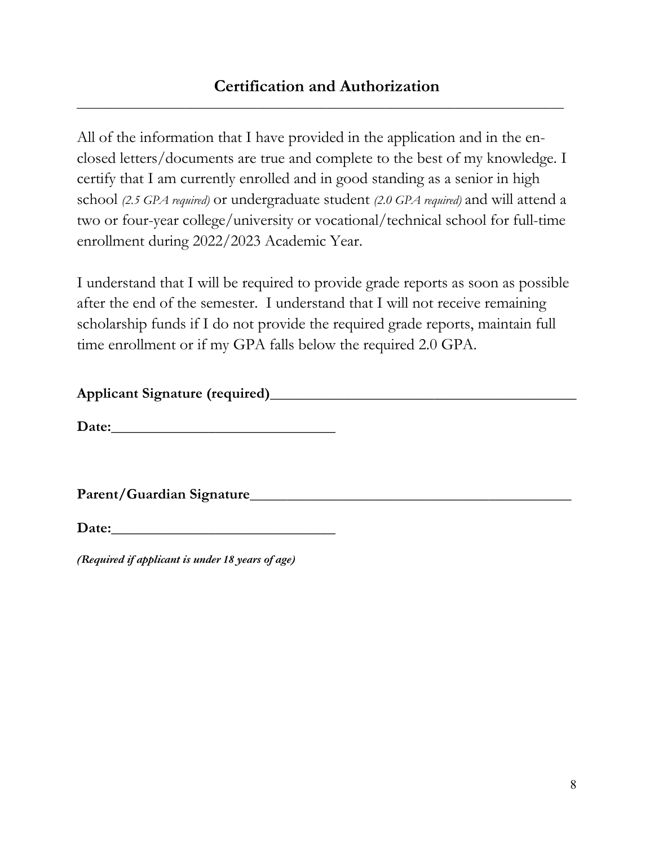**\_\_\_\_\_\_\_\_\_\_\_\_\_\_\_\_\_\_\_\_\_\_\_\_\_\_\_\_\_\_\_\_\_\_\_\_\_\_\_\_\_\_\_\_\_\_\_\_\_\_\_\_\_\_\_\_\_\_\_\_\_\_\_\_\_\_\_\_\_\_\_\_\_\_\_\_**

All of the information that I have provided in the application and in the enclosed letters/documents are true and complete to the best of my knowledge. I certify that I am currently enrolled and in good standing as a senior in high school *(2.5 GPA required)* or undergraduate student *(2.0 GPA required)* and will attend a two or four-year college/university or vocational/technical school for full-time enrollment during 2022/2023 Academic Year.

I understand that I will be required to provide grade reports as soon as possible after the end of the semester. I understand that I will not receive remaining scholarship funds if I do not provide the required grade reports, maintain full time enrollment or if my GPA falls below the required 2.0 GPA.

### **Applicant Signature (required)\_\_\_\_\_\_\_\_\_\_\_\_\_\_\_\_\_\_\_\_\_\_\_\_\_\_\_\_\_\_\_\_\_\_\_\_\_\_\_\_\_**

Date:

Parent/Guardian Signature

Date:

*(Required if applicant is under 18 years of age)*